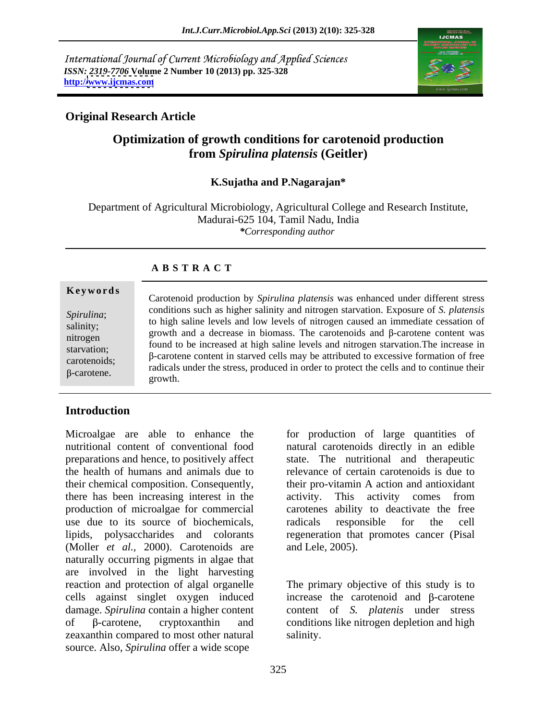International Journal of Current Microbiology and Applied Sciences *ISSN: 2319-7706* **Volume 2 Number 10 (2013) pp. 325-328 http:/[/www.ijcmas.com](http://www.ijcmas.com)**



### **Original Research Article**

# **Optimization of growth conditions for carotenoid production from** *Spirulina platensis* **(Geitler)**

### **K.Sujatha and P.Nagarajan\***

Department of Agricultural Microbiology, Agricultural College and Research Institute, Madurai-625 104, Tamil Nadu, India *\*Corresponding author*

### **A B S T R A C T**

**Ke ywo rds** *Spirulina*; Conditions such as higher salinity and introgen starvation. Exposure of S. *platensis* to high saline levels and low levels of nitrogen caused an immediate cessation of  $\frac{1}{2}$  salinity; and is the same versus of the carotenoids and final content was growth and a decrease in biomass. The carotenoids and  $\beta$ -carotene content was nitrogen<br>
found to be increased at high saline levels and nitrogen starvation. The increase in<br>
found to be increased at high saline levels and nitrogen starvation. The increase in starvation;<br> $\beta$ -carotene content in starved cells may be attributed to excessive formation of free Carotenoid production by *Spirulina platensis* was enhanced under different stress<br> *Spirulina*;<br>
to high saline levels and low levels of nitrogen caused an immediate cessation of<br>
growth and a decrease in biomass. The ca conditions such as higher salinity and nitrogen starvation. Exposure of *S. platensis* radicals under the stress, produced in order to protect the cells and to continue their growth.

## **Introduction**

Microalgae are able to enhance the for production of large quantities of nutritional content of conventional food natural carotenoids directly in an edible preparations and hence, to positively affect the health of humans and animals due to relevance of certain carotenoids is due to their chemical composition. Consequently, there has been increasing interest in the activity. This activity comes from production of microalgae for commercial carotenes ability to deactivate the free use due to its source of biochemicals, andicals responsible for the cell lipids, polysaccharides and colorants regeneration that promotes cancer (Pisal (Moller *et al.,* 2000). Carotenoids are naturally occurring pigments in algae that are involved in the light harvesting reaction and protection of algal organelle cells against singlet oxygen induced damage. *Spirulina* contain a higher content of  $\beta$ -carotene, cryptoxanthin and conditions like nitrogen depletion and high zeaxanthin compared to most other natural salinity. source. Also, *Spirulina* offer a wide scope

state. The nutritional and therapeutic their pro-vitamin A action and antioxidant activity. This activity comes from radicals responsible for the cell and Lele, 2005).

The primary objective of this study is to increase the carotenoid and B-carotene content of *S. platenis* under stress salinity.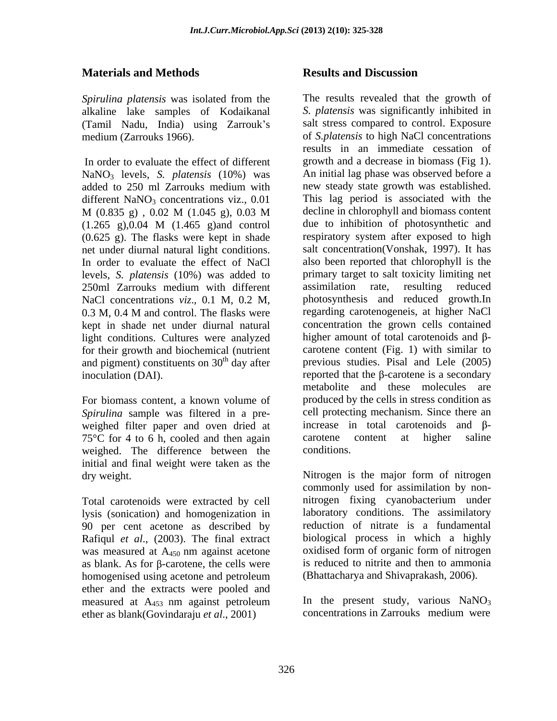### **Materials and Methods**

*Spirulina platensis* was isolated from the alkaline lake samples of Kodaikanal (Tamil Nadu, India) using Zarrouk s

NaNO<sub>3</sub> levels, *S. platensis* (10%) was added to 250 ml Zarrouks medium with different  $NaNO<sub>3</sub>$  concentrations viz., 0.01 (1.265 g),0.04 M (1.465 g)and control (0.625 g). The flasks were kept in shade levels, *S. platensis* (10%) was added to NaCl concentrations *viz*., 0.1 M, 0.2 M, kept in shade net under diurnal natural light conditions. Cultures were analyzed for their growth and biochemical (nutrient and pigment) constituents on  $30<sup>th</sup>$  day after

For biomass content, a known volume of *Spirulina* sample was filtered in a pre weighed filter paper and oven dried at  $75^{\circ}$ C for 4 to 6 h, cooled and then again carotene content at higher saline weighed. The difference between the initial and final weight were taken as the

lysis (sonication) and homogenization in 90 per cent acetone as described by Rafiqul *et al*., (2003). The final extract as blank. As for  $\beta$ -carotene, the cells were homogenised using acetone and petroleum (Bhattacharya and Shivaprakash, 2006). ether and the extracts were pooled and measured at A453 nm against petroleum ether as blank(Govindaraju *et al*., 2001)

### **Results and Discussion**

medium (Zarrouks 1966). of *S.platensis* to high NaCl concentrations In order to evaluate the effect of different growth and a decrease in biomass (Fig 1). added to 250 ml Zarrouks medium with how steady state growth was established. M (0.835 g) , 0.02 M (1.045 g), 0.03 M net under diurnal natural light conditions. Salt concentration (Vonshak, 1997). It has<br>In order to evaluate the effect of NaCl also been reported that chlorophyll is the 250ml Zarrouks medium with different 0.3 M, 0.4 M and control. The flasks were regarding carotenogeneis, at higher NaCl <sup>th</sup> day after previous studies. Pisal and Lele (2005) inoculation (DAI).  $\blacksquare$  reported that the  $\beta$ -carotene is a secondary The results revealed that the growth of *S. platensis* was significantly inhibited in salt stress compared to control. Exposure results in an immediate cessation of An initial lag phase was observed before a new steady state growth was established. This lag period is associated with the decline in chlorophyll and biomass content due to inhibition of photosynthetic and respiratory system after exposed to high salt concentration(Vonshak, 1997). It has also been reported that chlorophyll is the primary target to salt toxicity limiting net assimilation rate, resulting reduced photosynthesis and reduced growth.In regarding carotenogeneis, at higher NaCl concentration the grown cells contained higher amount of total carotenoids and  $\beta$ carotene content (Fig. 1) with similar to metabolite and these molecules are produced by the cells in stress condition as cell protecting mechanism. Since there an increase in total carotenoids and  $\beta$ carotene content at higher saline conditions.

dry weight. Nitrogen is the major form of nitrogen Total carotenoids were extracted by cell nitrogen fixing cyanobacterium under was measured at A<sub>450</sub> nm against acetone oxidised form of organic form of nitrogen commonly used for assimilation by non laboratory conditions. The assimilatory reduction of nitrate is a fundamental biological process in which a highly oxidised form of organic form of nitrogen is reduced to nitrite and then to ammonia (Bhattacharya and Shivaprakash, 2006).

> In the present study, various  $NaNO<sub>3</sub>$ concentrations in Zarrouks medium were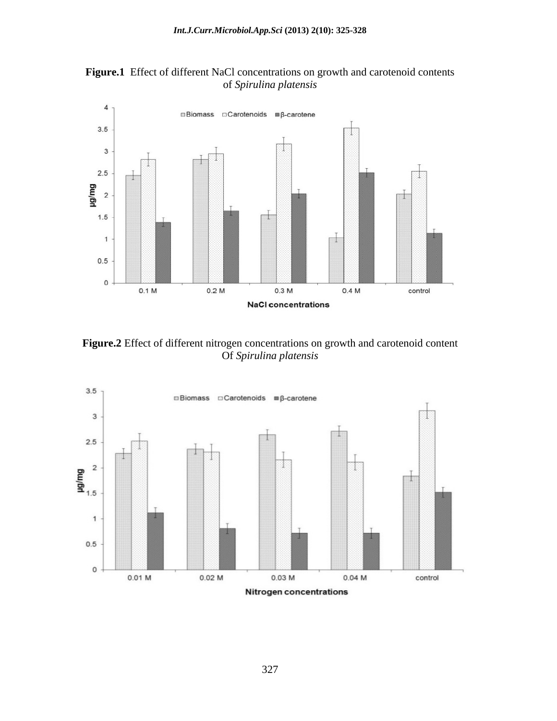

**Figure.1** Effect of different NaCl concentrations on growth and carotenoid contents of *Spirulina platensis*

**Figure.2** Effect of different nitrogen concentrations on growth and carotenoid content Of *Spirulina platensis*